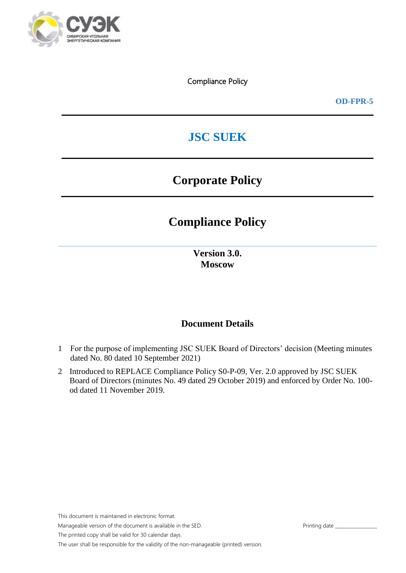

**OD-FPR-5**

# **JSC SUEK**

# **Corporate Policy**

# **Compliance Policy**

**Version 3.0. Moscow**

## **Document Details**

- 1 For the purpose of implementing JSC SUEK Board of Directors' decision (Meeting minutes dated No. 80 dated 10 September 2021)
- 2 Introduced to REPLACE Compliance Policy S0-P-09, Ver. 2.0 approved by JSC SUEK Board of Directors (minutes No. 49 dated 29 October 2019) and enforced by Order No. 100 od dated 11 November 2019.

This document is maintained in electronic format.

Manageable version of the document is available in the SED. Printing date general state of Printing date general state of  $P$ 

The printed copy shall be valid for 30 calendar days.

The user shall be responsible for the validity of the non-manageable (printed) version.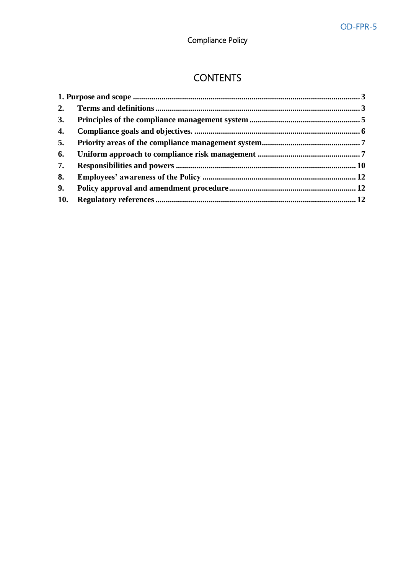# **CONTENTS**

| 3.  |  |
|-----|--|
| 4.  |  |
| 5.  |  |
| 6.  |  |
| 7.  |  |
| 8.  |  |
| 9.  |  |
| 10. |  |
|     |  |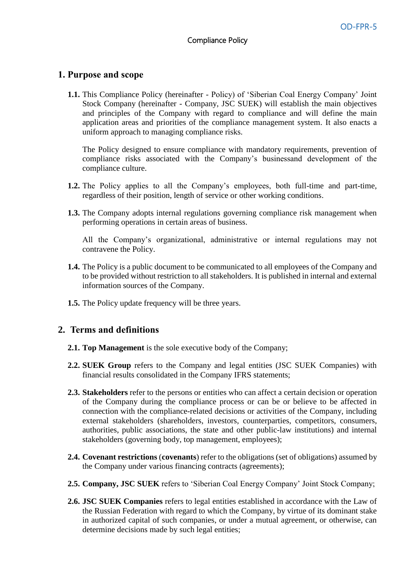### <span id="page-2-0"></span>**1. Purpose and scope**

**1.1.** This Compliance Policy (hereinafter - Policy) of 'Siberian Coal Energy Company' Joint Stock Company (hereinafter - Company, JSC SUEK) will establish the main objectives and principles of the Company with regard to compliance and will define the main application areas and priorities of the compliance management system. It also enacts a uniform approach to managing compliance risks.

The Policy designed to ensure compliance with mandatory requirements, prevention of compliance risks associated with the Company's businessand development of the compliance culture.

- **1.2.** The Policy applies to all the Company's employees, both full-time and part-time, regardless of their position, length of service or other working conditions.
- **1.3.** The Company adopts internal regulations governing compliance risk management when performing operations in certain areas of business.

All the Company's organizational, administrative or internal regulations may not contravene the Policy.

- **1.4.** The Policy is a public document to be communicated to all employees of the Company and to be provided without restriction to all stakeholders. It is published in internal and external information sources of the Company.
- <span id="page-2-1"></span>**1.5.** The Policy update frequency will be three years.

#### **2. Terms and definitions**

- **2.1. Top Management** is the sole executive body of the Company;
- **2.2. SUEK Group** refers to the Company and legal entities (JSC SUEK Companies) with financial results consolidated in the Company IFRS statements;
- **2.3. Stakeholders** refer to the persons or entities who can affect a certain decision or operation of the Company during the compliance process or can be or believe to be affected in connection with the compliance-related decisions or activities of the Company, including external stakeholders (shareholders, investors, counterparties, competitors, consumers, authorities, public associations, the state and other public-law institutions) and internal stakeholders (governing body, top management, employees);
- **2.4. Covenant restrictions** (**covenants**) refer to the obligations (set of obligations) assumed by the Company under various financing contracts (agreements);
- **2.5. Company, JSC SUEK** refers to 'Siberian Coal Energy Company' Joint Stock Company;
- **2.6. JSC SUEK Companies** refers to legal entities established in accordance with the Law of the Russian Federation with regard to which the Company, by virtue of its dominant stake in authorized capital of such companies, or under a mutual agreement, or otherwise, can determine decisions made by such legal entities;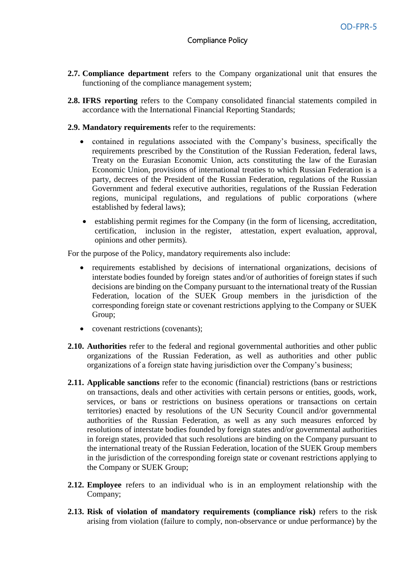- **2.7. Compliance department** refers to the Company organizational unit that ensures the functioning of the compliance management system;
- **2.8. IFRS reporting** refers to the Company consolidated financial statements compiled in accordance with the International Financial Reporting Standards;
- **2.9. Mandatory requirements** refer to the requirements:
	- contained in regulations associated with the Company's business, specifically the requirements prescribed by the Constitution of the Russian Federation, federal laws, Treaty on the Eurasian Economic Union, acts constituting the law of the Eurasian Economic Union, provisions of international treaties to which Russian Federation is a party, decrees of the President of the Russian Federation, regulations of the Russian Government and federal executive authorities, regulations of the Russian Federation regions, municipal regulations, and regulations of public corporations (where established by federal laws);
	- establishing permit regimes for the Company (in the form of licensing, accreditation, certification, inclusion in the register, attestation, expert evaluation, approval, opinions and other permits).

For the purpose of the Policy, mandatory requirements also include:

- requirements established by decisions of international organizations, decisions of interstate bodies founded by foreign states and/or of authorities of foreign states if such decisions are binding on the Company pursuant to the international treaty of the Russian Federation, location of the SUEK Group members in the jurisdiction of the corresponding foreign state or covenant restrictions applying to the Company or SUEK Group;
- covenant restrictions (covenants):
- **2.10. Authorities** refer to the federal and regional governmental authorities and other public organizations of the Russian Federation, as well as authorities and other public organizations of a foreign state having jurisdiction over the Company's business;
- **2.11. Applicable sanctions** refer to the economic (financial) restrictions (bans or restrictions on transactions, deals and other activities with certain persons or entities, goods, work, services, or bans or restrictions on business operations or transactions on certain territories) enacted by resolutions of the UN Security Council and/or governmental authorities of the Russian Federation, as well as any such measures enforced by resolutions of interstate bodies founded by foreign states and/or governmental authorities in foreign states, provided that such resolutions are binding on the Company pursuant to the international treaty of the Russian Federation, location of the SUEK Group members in the jurisdiction of the corresponding foreign state or covenant restrictions applying to the Company or SUEK Group;
- **2.12. Employee** refers to an individual who is in an employment relationship with the Company;
- **2.13. Risk of violation of mandatory requirements (compliance risk)** refers to the risk arising from violation (failure to comply, non-observance or undue performance) by the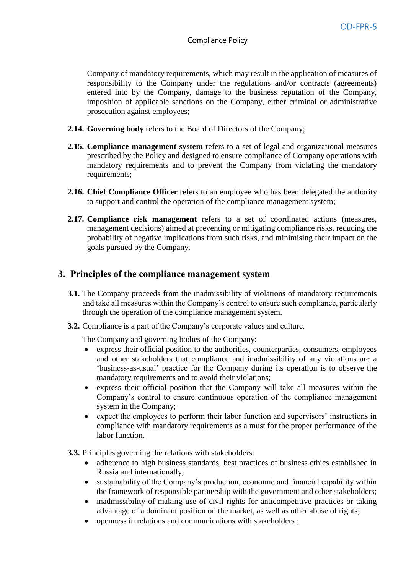Company of mandatory requirements, which may result in the application of measures of responsibility to the Company under the regulations and/or contracts (agreements) entered into by the Company, damage to the business reputation of the Company, imposition of applicable sanctions on the Company, either criminal or administrative prosecution against employees;

- **2.14. Governing body** refers to the Board of Directors of the Company;
- **2.15. Compliance management system** refers to a set of legal and organizational measures prescribed by the Policy and designed to ensure compliance of Company operations with mandatory requirements and to prevent the Company from violating the mandatory requirements;
- **2.16. Chief Compliance Officer** refers to an employee who has been delegated the authority to support and control the operation of the compliance management system;
- **2.17. Compliance risk management** refers to a set of coordinated actions (measures, management decisions) aimed at preventing or mitigating compliance risks, reducing the probability of negative implications from such risks, and minimising their impact on the goals pursued by the Company.

#### <span id="page-4-0"></span>**3. Principles of the compliance management system**

- **3.1.** The Company proceeds from the inadmissibility of violations of mandatory requirements and take all measures within the Company's control to ensure such compliance, particularly through the operation of the compliance management system.
- **3.2.** Compliance is a part of the Company's corporate values and culture.

The Company and governing bodies of the Company:

- express their official position to the authorities, counterparties, consumers, employees and other stakeholders that compliance and inadmissibility of any violations are a 'business-as-usual' practice for the Company during its operation is to observe the mandatory requirements and to avoid their violations;
- express their official position that the Company will take all measures within the Company's control to ensure continuous operation of the compliance management system in the Company;
- expect the employees to perform their labor function and supervisors' instructions in compliance with mandatory requirements as a must for the proper performance of the labor function.

**3.3.** Principles governing the relations with stakeholders:

- adherence to high business standards, best practices of business ethics established in Russia and internationally;
- sustainability of the Company's production, economic and financial capability within the framework of responsible partnership with the government and other stakeholders;
- inadmissibility of making use of civil rights for anticompetitive practices or taking advantage of a dominant position on the market, as well as other abuse of rights;
- openness in relations and communications with stakeholders ;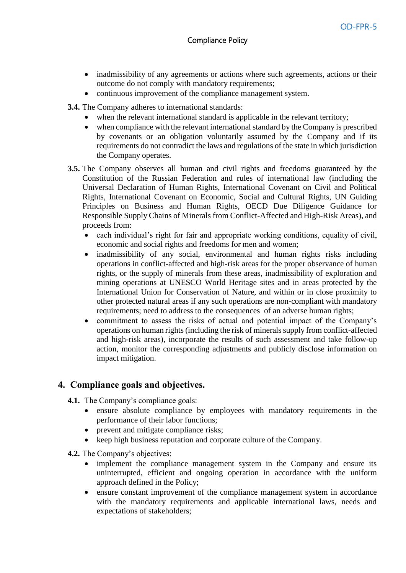- inadmissibility of any agreements or actions where such agreements, actions or their outcome do not comply with mandatory requirements;
- continuous improvement of the compliance management system.

**3.4.** The Company adheres to international standards:

- when the relevant international standard is applicable in the relevant territory;
- when compliance with the relevant international standard by the Company is prescribed by covenants or an obligation voluntarily assumed by the Company and if its requirements do not contradict the laws and regulations of the state in which jurisdiction the Company operates.
- **3.5.** The Company observes all human and civil rights and freedoms guaranteed by the Constitution of the Russian Federation and rules of international law (including the Universal Declaration of Human Rights, International Covenant on Civil and Political Rights, International Covenant on Economic, Social and Cultural Rights, UN Guiding Principles on Business and Human Rights, OECD Due Diligence Guidance for Responsible Supply Chains of Minerals from Conflict-Affected and High-Risk Areas), and proceeds from:
	- each individual's right for fair and appropriate working conditions, equality of civil, economic and social rights and freedoms for men and women;
	- inadmissibility of any social, environmental and human rights risks including operations in conflict-affected and high-risk areas for the proper observance of human rights, or the supply of minerals from these areas, inadmissibility of exploration and mining operations at UNESCO World Heritage sites and in areas protected by the International Union for Conservation of Nature, and within or in close proximity to other protected natural areas if any such operations are non-compliant with mandatory requirements; need to address to the consequences of an adverse human rights;
	- commitment to assess the risks of actual and potential impact of the Company's operations on human rights (including the risk of minerals supply from conflict-affected and high-risk areas), incorporate the results of such assessment and take follow-up action, monitor the corresponding adjustments and publicly disclose information on impact mitigation.

# <span id="page-5-0"></span>**4. Compliance goals and objectives.**

- **4.1.** The Company's compliance goals:
	- ensure absolute compliance by employees with mandatory requirements in the performance of their labor functions;
	- prevent and mitigate compliance risks;
	- keep high business reputation and corporate culture of the Company.
- **4.2.** The Company's objectives:
	- implement the compliance management system in the Company and ensure its uninterrupted, efficient and ongoing operation in accordance with the uniform approach defined in the Policy;
	- ensure constant improvement of the compliance management system in accordance with the mandatory requirements and applicable international laws, needs and expectations of stakeholders;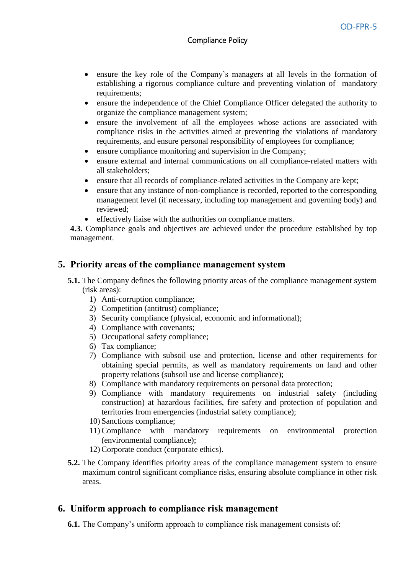- ensure the key role of the Company's managers at all levels in the formation of establishing a rigorous compliance culture and preventing violation of mandatory requirements;
- ensure the independence of the Chief Compliance Officer delegated the authority to organize the compliance management system;
- ensure the involvement of all the employees whose actions are associated with compliance risks in the activities aimed at preventing the violations of mandatory requirements, and ensure personal responsibility of employees for compliance;
- ensure compliance monitoring and supervision in the Company;
- ensure external and internal communications on all compliance-related matters with all stakeholders;
- ensure that all records of compliance-related activities in the Company are kept;
- ensure that any instance of non-compliance is recorded, reported to the corresponding management level (if necessary, including top management and governing body) and reviewed;
- effectively liaise with the authorities on compliance matters.

**4.3.** Compliance goals and objectives are achieved under the procedure established by top management.

### <span id="page-6-0"></span>**5. Priority areas of the compliance management system**

- **5.1.** The Company defines the following priority areas of the compliance management system (risk areas):
	- 1) Anti-corruption compliance;
	- 2) Competition (antitrust) compliance;
	- 3) Security compliance (physical, economic and informational);
	- 4) Compliance with covenants;
	- 5) Occupational safety compliance;
	- 6) Tax compliance;
	- 7) Compliance with subsoil use and protection, license and other requirements for obtaining special permits, as well as mandatory requirements on land and other property relations (subsoil use and license compliance);
	- 8) Compliance with mandatory requirements on personal data protection;
	- 9) Compliance with mandatory requirements on industrial safety (including construction) at hazardous facilities, fire safety and protection of population and territories from emergencies (industrial safety compliance);
	- 10) Sanctions compliance;
	- 11) Compliance with mandatory requirements on environmental protection (environmental compliance);
	- 12) Corporate conduct (corporate ethics).
- **5.2.** The Company identifies priority areas of the compliance management system to ensure maximum control significant compliance risks, ensuring absolute compliance in other risk areas.

### <span id="page-6-1"></span>**6. Uniform approach to compliance risk management**

**6.1.** The Company's uniform approach to compliance risk management consists of: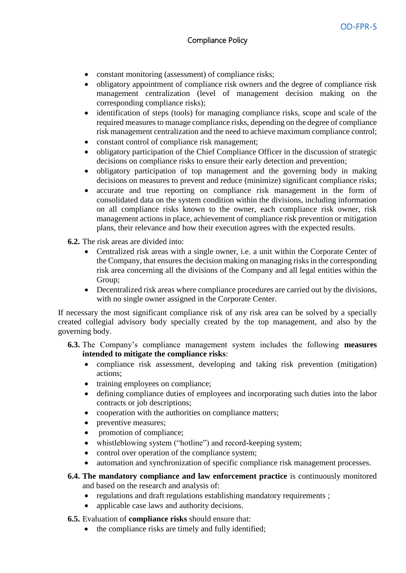- constant monitoring (assessment) of compliance risks;
- obligatory appointment of compliance risk owners and the degree of compliance risk management centralization (level of management decision making on the corresponding compliance risks);
- identification of steps (tools) for managing compliance risks, scope and scale of the required measures to manage compliance risks, depending on the degree of compliance risk management centralization and the need to achieve maximum compliance control;
- constant control of compliance risk management;
- obligatory participation of the Chief Compliance Officer in the discussion of strategic decisions on compliance risks to ensure their early detection and prevention;
- obligatory participation of top management and the governing body in making decisions on measures to prevent and reduce (minimize) significant compliance risks;
- accurate and true reporting on compliance risk management in the form of consolidated data on the system condition within the divisions, including information on all compliance risks known to the owner, each compliance risk owner, risk management actions in place, achievement of compliance risk prevention or mitigation plans, their relevance and how their execution agrees with the expected results.
- **6.2.** The risk areas are divided into:
	- Centralized risk areas with a single owner, i.e. a unit within the Corporate Center of the Company, that ensures the decision making on managing risks in the corresponding risk area concerning all the divisions of the Company and all legal entities within the Group;
	- Decentralized risk areas where compliance procedures are carried out by the divisions, with no single owner assigned in the Corporate Center.

If necessary the most significant compliance risk of any risk area can be solved by a specially created collegial advisory body specially created by the top management, and also by the governing body.

- **6.3.** The Company's compliance management system includes the following **measures intended to mitigate the compliance risks**:
	- compliance risk assessment, developing and taking risk prevention (mitigation) actions;
	- training employees on compliance;
	- defining compliance duties of employees and incorporating such duties into the labor contracts or job descriptions;
	- cooperation with the authorities on compliance matters;
	- preventive measures;
	- promotion of compliance;
	- whistleblowing system ("hotline") and record-keeping system;
	- control over operation of the compliance system;
	- automation and synchronization of specific compliance risk management processes.
- **6.4. The mandatory compliance and law enforcement practice** is continuously monitored and based on the research and analysis of:
	- regulations and draft regulations establishing mandatory requirements ;
	- applicable case laws and authority decisions.
- **6.5.** Evaluation of **compliance risks** should ensure that:
	- the compliance risks are timely and fully identified;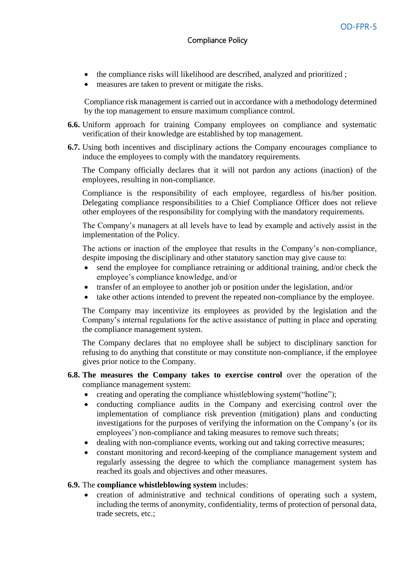- the compliance risks will likelihood are described, analyzed and prioritized ;
- measures are taken to prevent or mitigate the risks.

Compliance risk management is carried out in accordance with a methodology determined by the top management to ensure maximum compliance control.

- **6.6.** Uniform approach for training Company employees on compliance and systematic verification of their knowledge are established by top management.
- **6.7.** Using both incentives and disciplinary actions the Company encourages compliance to induce the employees to comply with the mandatory requirements.

The Company officially declares that it will not pardon any actions (inaction) of the employees, resulting in non-compliance.

Compliance is the responsibility of each employee, regardless of his/her position. Delegating compliance responsibilities to a Chief Compliance Officer does not relieve other employees of the responsibility for complying with the mandatory requirements.

The Company's managers at all levels have to lead by example and actively assist in the implementation of the Policy.

The actions or inaction of the employee that results in the Company's non-compliance, despite imposing the disciplinary and other statutory sanction may give cause to:

- send the employee for compliance retraining or additional training, and/or check the employee's compliance knowledge, and/or
- transfer of an employee to another job or position under the legislation, and/or
- take other actions intended to prevent the repeated non-compliance by the employee.

The Company may incentivize its employees as provided by the legislation and the Company's internal regulations for the active assistance of putting in place and operating the compliance management system.

The Company declares that no employee shall be subject to disciplinary sanction for refusing to do anything that constitute or may constitute non-compliance, if the employee gives prior notice to the Company.

#### **6.8. The measures the Company takes to exercise control** over the operation of the compliance management system:

- creating and operating the compliance whistleblowing system("hotline");
- conducting compliance audits in the Company and exercising control over the implementation of compliance risk prevention (mitigation) plans and conducting investigations for the purposes of verifying the information on the Company's (or its employees') non-compliance and taking measures to remove such threats;
- dealing with non-compliance events, working out and taking corrective measures;
- constant monitoring and record-keeping of the compliance management system and regularly assessing the degree to which the compliance management system has reached its goals and objectives and other measures.

#### **6.9.** The **compliance whistleblowing system** includes:

 creation of administrative and technical conditions of operating such a system, including the terms of anonymity, confidentiality, terms of protection of personal data, trade secrets, etc.;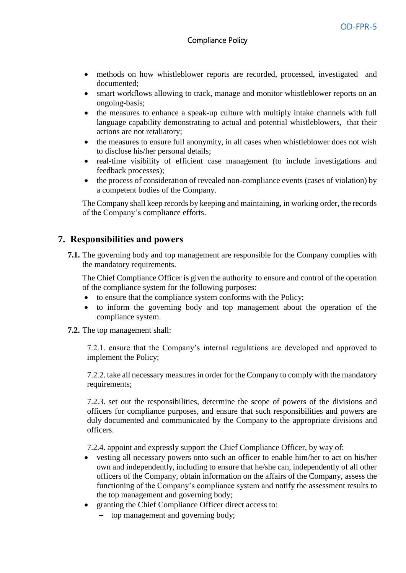- methods on how whistleblower reports are recorded, processed, investigated and documented;
- smart workflows allowing to track, manage and monitor whistleblower reports on an ongoing-basis;
- the measures to enhance a speak-up culture with multiply intake channels with full language capability demonstrating to actual and potential whistleblowers, that their actions are not retaliatory;
- the measures to ensure full anonymity, in all cases when whistleblower does not wish to disclose his/her personal details;
- real-time visibility of efficient case management (to include investigations and feedback processes);
- the process of consideration of revealed non-compliance events (cases of violation) by a competent bodies of the Company.

The Company shall keep records by keeping and maintaining, in working order, the records of the Company's compliance efforts.

#### <span id="page-9-0"></span>**7. Responsibilities and powers**

**7.1.** The governing body and top management are responsible for the Company complies with the mandatory requirements.

The Chief Compliance Officer is given the authority to ensure and control of the operation of the compliance system for the following purposes:

- to ensure that the compliance system conforms with the Policy;
- to inform the governing body and top management about the operation of the compliance system.
- **7.2.** The top management shall:

7.2.1. ensure that the Company's internal regulations are developed and approved to implement the Policy;

7.2.2. take all necessary measures in order for the Company to comply with the mandatory requirements;

7.2.3. set out the responsibilities, determine the scope of powers of the divisions and officers for compliance purposes, and ensure that such responsibilities and powers are duly documented and communicated by the Company to the appropriate divisions and officers.

7.2.4. appoint and expressly support the Chief Compliance Officer, by way of:

- vesting all necessary powers onto such an officer to enable him/her to act on his/her own and independently, including to ensure that he/she can, independently of all other officers of the Company, obtain information on the affairs of the Company, assess the functioning of the Company's compliance system and notify the assessment results to the top management and governing body;
- granting the Chief Compliance Officer direct access to:
	- top management and governing body;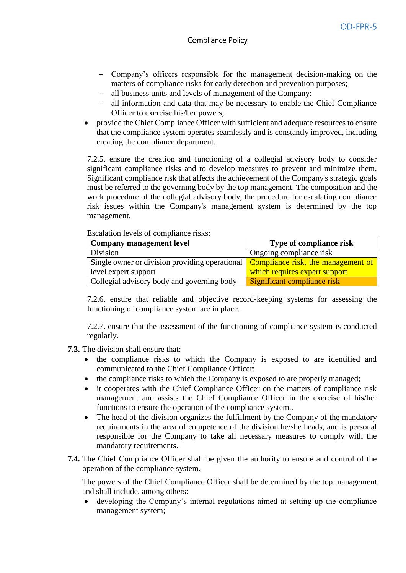- Company's officers responsible for the management decision-making on the matters of compliance risks for early detection and prevention purposes;
- all business units and levels of management of the Company:
- all information and data that may be necessary to enable the Chief Compliance Officer to exercise his/her powers;
- provide the Chief Compliance Officer with sufficient and adequate resources to ensure that the compliance system operates seamlessly and is constantly improved, including creating the compliance department.

7.2.5. ensure the creation and functioning of a collegial advisory body to consider significant compliance risks and to develop measures to prevent and minimize them. Significant compliance risk that affects the achievement of the Company's strategic goals must be referred to the governing body by the top management. The composition and the work procedure of the collegial advisory body, the procedure for escalating compliance risk issues within the Company's management system is determined by the top management.

Escalation levels of сompliance risks:

| Company management level                                                                               | <b>Type of compliance risk</b> |  |
|--------------------------------------------------------------------------------------------------------|--------------------------------|--|
| Division                                                                                               | Ongoing compliance risk        |  |
| Single owner or division providing operational $\sqrt{\frac{1}{2}}$ Compliance risk, the management of |                                |  |
| level expert support                                                                                   | which requires expert support  |  |
| Collegial advisory body and governing body                                                             | Significant compliance risk    |  |

7.2.6. ensure that reliable and objective record-keeping systems for assessing the functioning of compliance system are in place.

7.2.7. ensure that the assessment of the functioning of compliance system is conducted regularly.

**7.3.** The division shall ensure that:

- the compliance risks to which the Company is exposed to are identified and communicated to the Chief Compliance Officer;
- the compliance risks to which the Company is exposed to are properly managed;
- it cooperates with the Chief Compliance Officer on the matters of compliance risk management and assists the Chief Compliance Officer in the exercise of his/her functions to ensure the operation of the compliance system..
- The head of the division organizes the fulfillment by the Company of the mandatory requirements in the area of competence of the division he/she heads, and is personal responsible for the Company to take all necessary measures to comply with the mandatory requirements.
- **7.4.** The Chief Compliance Officer shall be given the authority to ensure and control of the operation of the compliance system.

The powers of the Chief Compliance Officer shall be determined by the top management and shall include, among others:

 developing the Company's internal regulations aimed at setting up the compliance management system;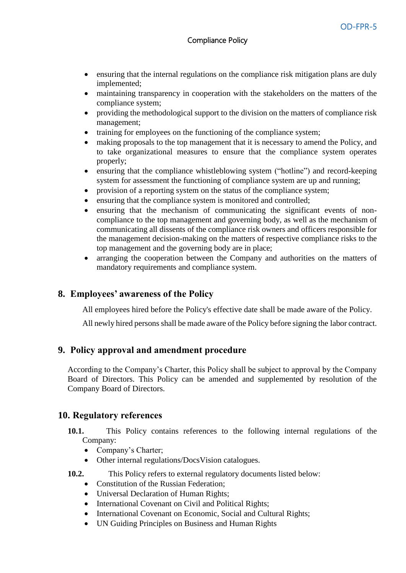- ensuring that the internal regulations on the compliance risk mitigation plans are duly implemented;
- maintaining transparency in cooperation with the stakeholders on the matters of the compliance system;
- providing the methodological support to the division on the matters of compliance risk management;
- training for employees on the functioning of the compliance system;
- making proposals to the top management that it is necessary to amend the Policy, and to take organizational measures to ensure that the compliance system operates properly;
- ensuring that the compliance whistleblowing system ("hotline") and record-keeping system for assessment the functioning of compliance system are up and running;
- provision of a reporting system on the status of the compliance system;
- ensuring that the compliance system is monitored and controlled;
- ensuring that the mechanism of communicating the significant events of noncompliance to the top management and governing body, as well as the mechanism of communicating all dissents of the compliance risk owners and officers responsible for the management decision-making on the matters of respective compliance risks to the top management and the governing body are in place;
- arranging the cooperation between the Company and authorities on the matters of mandatory requirements and compliance system.

## <span id="page-11-0"></span>**8. Employees' awareness of the Policy**

All employees hired before the Policy's effective date shall be made aware of the Policy.

All newly hired persons shall be made aware of the Policy before signing the labor contract.

### <span id="page-11-1"></span>**9. Policy approval and amendment procedure**

According to the Company's Charter, this Policy shall be subject to approval by the Company Board of Directors. This Policy can be amended and supplemented by resolution of the Company Board of Directors.

### <span id="page-11-2"></span>**10. Regulatory references**

- **10.1.** This Policy contains references to the following internal regulations of the Company:
	- Company's Charter;
	- Other internal regulations/DocsVision catalogues.
- **10.2.** This Policy refers to external regulatory documents listed below:
	- Constitution of the Russian Federation:
	- Universal Declaration of Human Rights;
	- International Covenant on Civil and Political Rights:
	- International Covenant on Economic, Social and Cultural Rights;
	- UN Guiding Principles on Business and Human Rights